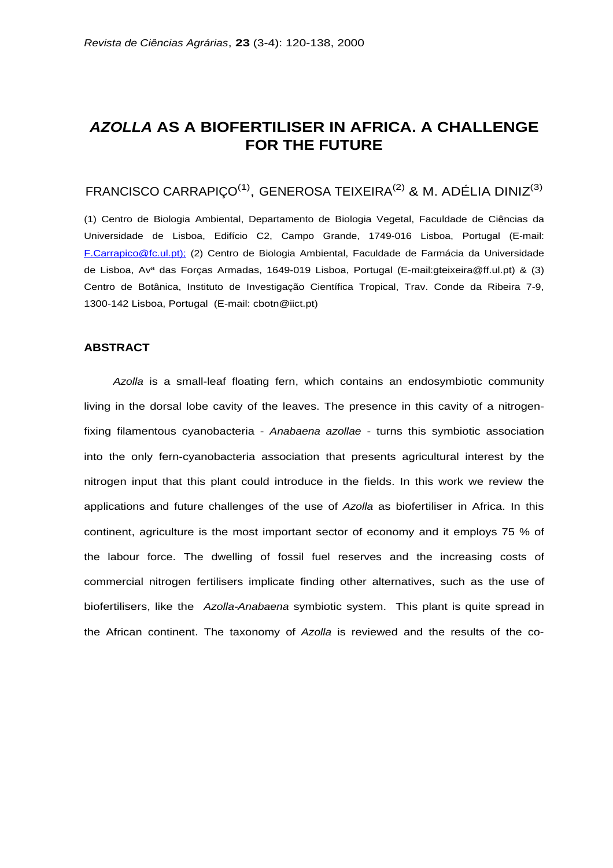# **AZOLLA AS A BIOFERTILISER IN AFRICA. A CHALLENGE FOR THE FUTURE**

# FRANCISCO CARRAPIÇO<sup>(1)</sup>, GENEROSA TEIXEIRA<sup>(2)</sup> & M. ADÉLIA DINIZ<sup>(3)</sup>

(1) Centro de Biologia Ambiental, Departamento de Biologia Vegetal, Faculdade de Ciências da Universidade de Lisboa, Edifício C2, Campo Grande, 1749-016 Lisboa, Portugal (E-mail: F.Carrapico@fc.ul.pt); (2) Centro de Biologia Ambiental, Faculdade de Farmácia da Universidade de Lisboa, Avª das Forças Armadas, 1649-019 Lisboa, Portugal (E-mail:gteixeira@ff.ul.pt) & (3) Centro de Botânica, Instituto de Investigação Científica Tropical, Trav. Conde da Ribeira 7-9, 1300-142 Lisboa, Portugal (E-mail: cbotn@iict.pt)

### **ABSTRACT**

Azolla is a small-leaf floating fern, which contains an endosymbiotic community living in the dorsal lobe cavity of the leaves. The presence in this cavity of a nitrogenfixing filamentous cyanobacteria - Anabaena azollae - turns this symbiotic association into the only fern-cyanobacteria association that presents agricultural interest by the nitrogen input that this plant could introduce in the fields. In this work we review the applications and future challenges of the use of Azolla as biofertiliser in Africa. In this continent, agriculture is the most important sector of economy and it employs 75 % of the labour force. The dwelling of fossil fuel reserves and the increasing costs of commercial nitrogen fertilisers implicate finding other alternatives, such as the use of biofertilisers, like the Azolla-Anabaena symbiotic system. This plant is quite spread in the African continent. The taxonomy of Azolla is reviewed and the results of the co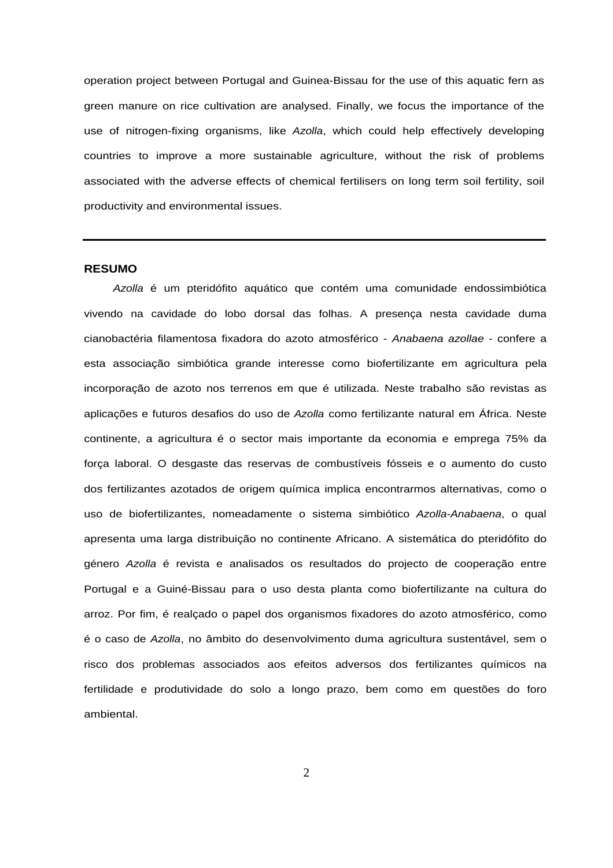operation project between Portugal and Guinea-Bissau for the use of this aquatic fern as green manure on rice cultivation are analysed. Finally, we focus the importance of the use of nitrogen-fixing organisms, like Azolla, which could help effectively developing countries to improve a more sustainable agriculture, without the risk of problems associated with the adverse effects of chemical fertilisers on long term soil fertility, soil productivity and environmental issues.

#### **RESUMO**

Azolla é um pteridófito aquático que contém uma comunidade endossimbiótica vivendo na cavidade do lobo dorsal das folhas. A presença nesta cavidade duma cianobactéria filamentosa fixadora do azoto atmosférico - Anabaena azollae - confere a esta associação simbiótica grande interesse como biofertilizante em agricultura pela incorporação de azoto nos terrenos em que é utilizada. Neste trabalho são revistas as aplicações e futuros desafios do uso de Azolla como fertilizante natural em África. Neste continente, a agricultura é o sector mais importante da economia e emprega 75% da força laboral. O desgaste das reservas de combustíveis fósseis e o aumento do custo dos fertilizantes azotados de origem química implica encontrarmos alternativas, como o uso de biofertilizantes, nomeadamente o sistema simbiótico Azolla-Anabaena, o qual apresenta uma larga distribuição no continente Africano. A sistemática do pteridófito do género Azolla é revista e analisados os resultados do projecto de cooperação entre Portugal e a Guiné-Bissau para o uso desta planta como biofertilizante na cultura do arroz. Por fim, é realçado o papel dos organismos fixadores do azoto atmosférico, como é o caso de Azolla, no âmbito do desenvolvimento duma agricultura sustentável, sem o risco dos problemas associados aos efeitos adversos dos fertilizantes químicos na fertilidade e produtividade do solo a longo prazo, bem como em questões do foro ambiental.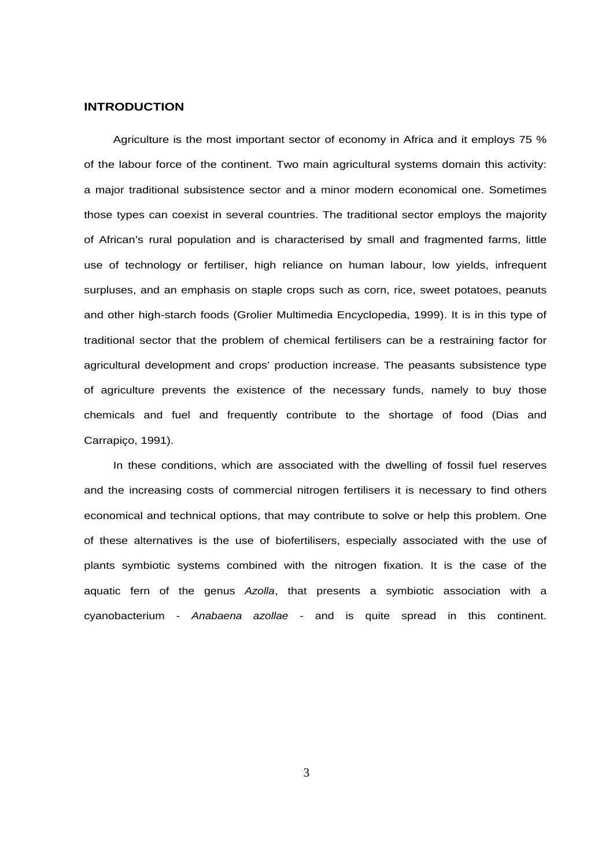### **INTRODUCTION**

Agriculture is the most important sector of economy in Africa and it employs 75 % of the labour force of the continent. Two main agricultural systems domain this activity: a major traditional subsistence sector and a minor modern economical one. Sometimes those types can coexist in several countries. The traditional sector employs the majority of African's rural population and is characterised by small and fragmented farms, little use of technology or fertiliser, high reliance on human labour, low yields, infrequent surpluses, and an emphasis on staple crops such as corn, rice, sweet potatoes, peanuts and other high-starch foods (Grolier Multimedia Encyclopedia, 1999). It is in this type of traditional sector that the problem of chemical fertilisers can be a restraining factor for agricultural development and crops' production increase. The peasants subsistence type of agriculture prevents the existence of the necessary funds, namely to buy those chemicals and fuel and frequently contribute to the shortage of food (Dias and Carrapiço, 1991).

In these conditions, which are associated with the dwelling of fossil fuel reserves and the increasing costs of commercial nitrogen fertilisers it is necessary to find others economical and technical options, that may contribute to solve or help this problem. One of these alternatives is the use of biofertilisers, especially associated with the use of plants symbiotic systems combined with the nitrogen fixation. It is the case of the aquatic fern of the genus Azolla, that presents a symbiotic association with a cyanobacterium - Anabaena azollae - and is quite spread in this continent.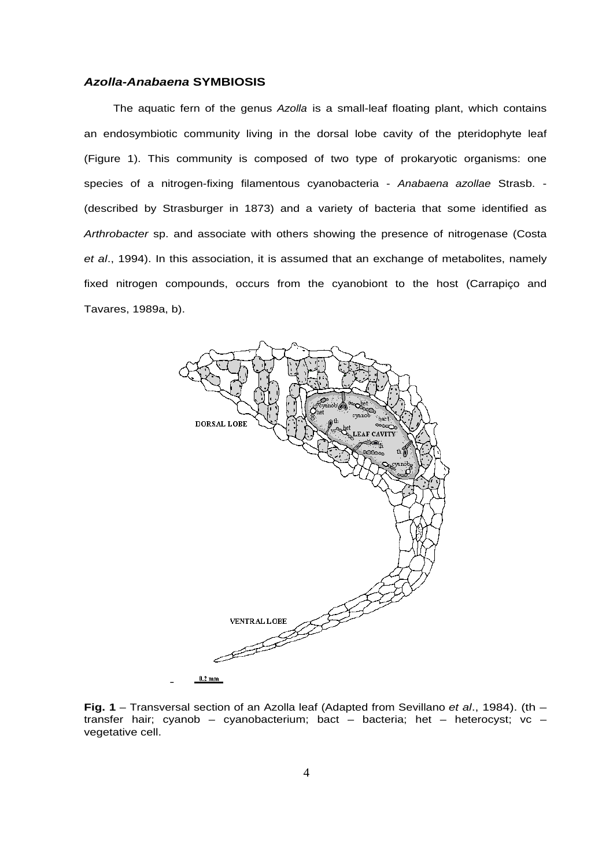#### **Azolla-Anabaena SYMBIOSIS**

The aquatic fern of the genus Azolla is a small-leaf floating plant, which contains an endosymbiotic community living in the dorsal lobe cavity of the pteridophyte leaf (Figure 1). This community is composed of two type of prokaryotic organisms: one species of a nitrogen-fixing filamentous cyanobacteria - Anabaena azollae Strasb. -(described by Strasburger in 1873) and a variety of bacteria that some identified as Arthrobacter sp. and associate with others showing the presence of nitrogenase (Costa et al., 1994). In this association, it is assumed that an exchange of metabolites, namely fixed nitrogen compounds, occurs from the cyanobiont to the host (Carrapiço and Tavares, 1989a, b).



**Fig. 1** – Transversal section of an Azolla leaf (Adapted from Sevillano et al., 1984). (th – transfer hair; cyanob – cyanobacterium; bact – bacteria; het – heterocyst; vc – vegetative cell.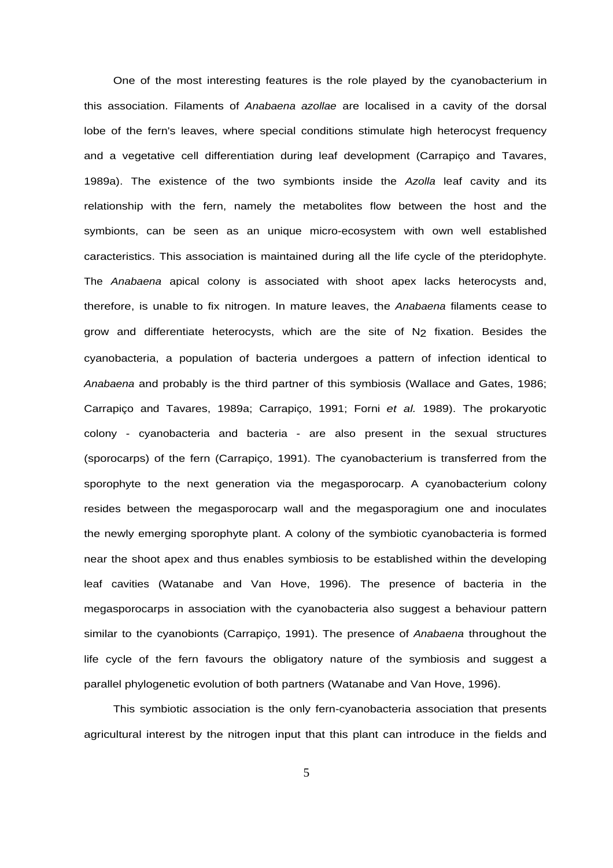One of the most interesting features is the role played by the cyanobacterium in this association. Filaments of Anabaena azollae are localised in a cavity of the dorsal lobe of the fern's leaves, where special conditions stimulate high heterocyst frequency and a vegetative cell differentiation during leaf development (Carrapiço and Tavares, 1989a). The existence of the two symbionts inside the Azolla leaf cavity and its relationship with the fern, namely the metabolites flow between the host and the symbionts, can be seen as an unique micro-ecosystem with own well established caracteristics. This association is maintained during all the life cycle of the pteridophyte. The Anabaena apical colony is associated with shoot apex lacks heterocysts and, therefore, is unable to fix nitrogen. In mature leaves, the Anabaena filaments cease to grow and differentiate heterocysts, which are the site of N<sub>2</sub> fixation. Besides the cyanobacteria, a population of bacteria undergoes a pattern of infection identical to Anabaena and probably is the third partner of this symbiosis (Wallace and Gates, 1986; Carrapiço and Tavares, 1989a; Carrapiço, 1991; Forni et al. 1989). The prokaryotic colony - cyanobacteria and bacteria - are also present in the sexual structures (sporocarps) of the fern (Carrapiço, 1991). The cyanobacterium is transferred from the sporophyte to the next generation via the megasporocarp. A cyanobacterium colony resides between the megasporocarp wall and the megasporagium one and inoculates the newly emerging sporophyte plant. A colony of the symbiotic cyanobacteria is formed near the shoot apex and thus enables symbiosis to be established within the developing leaf cavities (Watanabe and Van Hove, 1996). The presence of bacteria in the megasporocarps in association with the cyanobacteria also suggest a behaviour pattern similar to the cyanobionts (Carrapico, 1991). The presence of Anabaena throughout the life cycle of the fern favours the obligatory nature of the symbiosis and suggest a parallel phylogenetic evolution of both partners (Watanabe and Van Hove, 1996).

This symbiotic association is the only fern-cyanobacteria association that presents agricultural interest by the nitrogen input that this plant can introduce in the fields and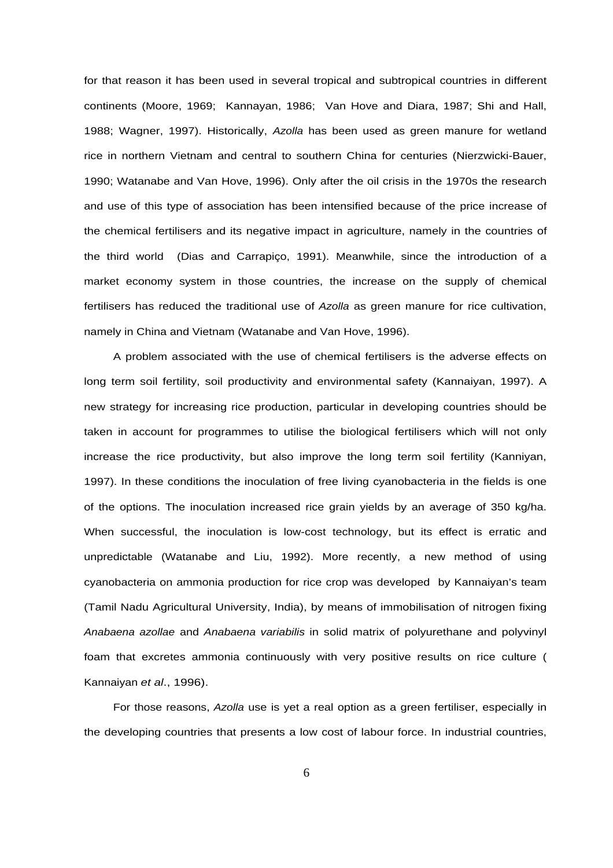for that reason it has been used in several tropical and subtropical countries in different continents (Moore, 1969; Kannayan, 1986; Van Hove and Diara, 1987; Shi and Hall, 1988; Wagner, 1997). Historically, Azolla has been used as green manure for wetland rice in northern Vietnam and central to southern China for centuries (Nierzwicki-Bauer, 1990; Watanabe and Van Hove, 1996). Only after the oil crisis in the 1970s the research and use of this type of association has been intensified because of the price increase of the chemical fertilisers and its negative impact in agriculture, namely in the countries of the third world (Dias and Carrapiço, 1991). Meanwhile, since the introduction of a market economy system in those countries, the increase on the supply of chemical fertilisers has reduced the traditional use of Azolla as green manure for rice cultivation, namely in China and Vietnam (Watanabe and Van Hove, 1996).

A problem associated with the use of chemical fertilisers is the adverse effects on long term soil fertility, soil productivity and environmental safety (Kannaiyan, 1997). A new strategy for increasing rice production, particular in developing countries should be taken in account for programmes to utilise the biological fertilisers which will not only increase the rice productivity, but also improve the long term soil fertility (Kanniyan, 1997). In these conditions the inoculation of free living cyanobacteria in the fields is one of the options. The inoculation increased rice grain yields by an average of 350 kg/ha. When successful, the inoculation is low-cost technology, but its effect is erratic and unpredictable (Watanabe and Liu, 1992). More recently, a new method of using cyanobacteria on ammonia production for rice crop was developed by Kannaiyan's team (Tamil Nadu Agricultural University, India), by means of immobilisation of nitrogen fixing Anabaena azollae and Anabaena variabilis in solid matrix of polyurethane and polyvinyl foam that excretes ammonia continuously with very positive results on rice culture ( Kannaiyan et al., 1996).

For those reasons, Azolla use is yet a real option as a green fertiliser, especially in the developing countries that presents a low cost of labour force. In industrial countries,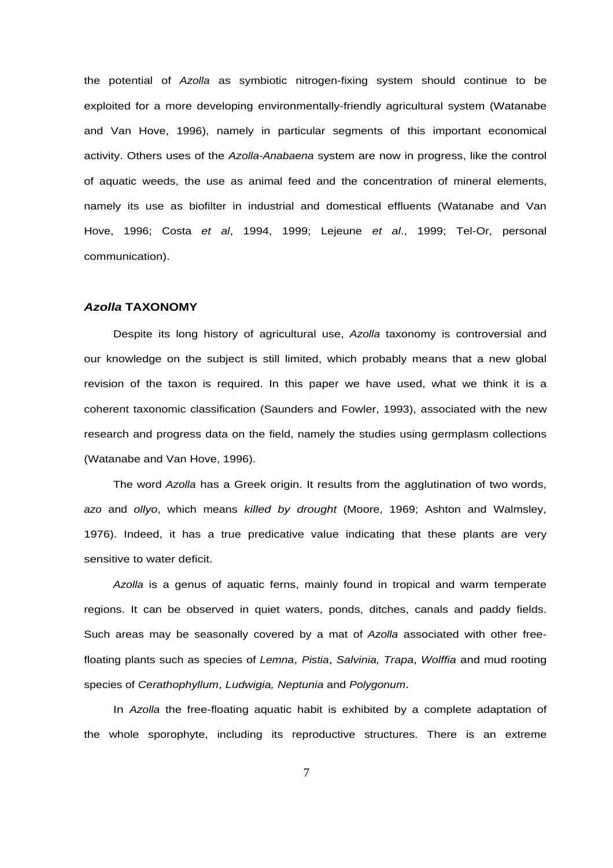the potential of Azolla as symbiotic nitrogen-fixing system should continue to be exploited for a more developing environmentally-friendly agricultural system (Watanabe and Van Hove, 1996), namely in particular segments of this important economical activity. Others uses of the Azolla-Anabaena system are now in progress, like the control of aquatic weeds, the use as animal feed and the concentration of mineral elements, namely its use as biofilter in industrial and domestical effluents (Watanabe and Van Hove, 1996; Costa et al, 1994, 1999; Lejeune et al., 1999; Tel-Or, personal communication).

#### **Azolla TAXONOMY**

Despite its long history of agricultural use, Azolla taxonomy is controversial and our knowledge on the subject is still limited, which probably means that a new global revision of the taxon is required. In this paper we have used, what we think it is a coherent taxonomic classification (Saunders and Fowler, 1993), associated with the new research and progress data on the field, namely the studies using germplasm collections (Watanabe and Van Hove, 1996).

The word Azolla has a Greek origin. It results from the agglutination of two words, azo and ollyo, which means killed by drought (Moore, 1969; Ashton and Walmsley, 1976). Indeed, it has a true predicative value indicating that these plants are very sensitive to water deficit.

Azolla is a genus of aquatic ferns, mainly found in tropical and warm temperate regions. It can be observed in quiet waters, ponds, ditches, canals and paddy fields. Such areas may be seasonally covered by a mat of Azolla associated with other freefloating plants such as species of Lemna, Pistia, Salvinia, Trapa, Wolffia and mud rooting species of Cerathophyllum, Ludwigia, Neptunia and Polygonum.

In Azolla the free-floating aquatic habit is exhibited by a complete adaptation of the whole sporophyte, including its reproductive structures. There is an extreme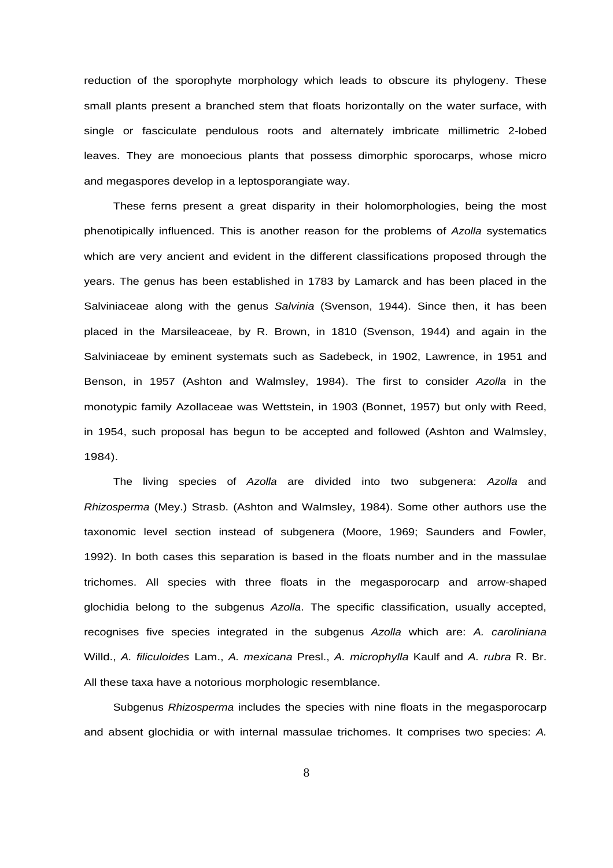reduction of the sporophyte morphology which leads to obscure its phylogeny. These small plants present a branched stem that floats horizontally on the water surface, with single or fasciculate pendulous roots and alternately imbricate millimetric 2-lobed leaves. They are monoecious plants that possess dimorphic sporocarps, whose micro and megaspores develop in a leptosporangiate way.

These ferns present a great disparity in their holomorphologies, being the most phenotipically influenced. This is another reason for the problems of Azolla systematics which are very ancient and evident in the different classifications proposed through the years. The genus has been established in 1783 by Lamarck and has been placed in the Salviniaceae along with the genus Salvinia (Svenson, 1944). Since then, it has been placed in the Marsileaceae, by R. Brown, in 1810 (Svenson, 1944) and again in the Salviniaceae by eminent systemats such as Sadebeck, in 1902, Lawrence, in 1951 and Benson, in 1957 (Ashton and Walmsley, 1984). The first to consider Azolla in the monotypic family Azollaceae was Wettstein, in 1903 (Bonnet, 1957) but only with Reed, in 1954, such proposal has begun to be accepted and followed (Ashton and Walmsley, 1984).

The living species of Azolla are divided into two subgenera: Azolla and Rhizosperma (Mey.) Strasb. (Ashton and Walmsley, 1984). Some other authors use the taxonomic level section instead of subgenera (Moore, 1969; Saunders and Fowler, 1992). In both cases this separation is based in the floats number and in the massulae trichomes. All species with three floats in the megasporocarp and arrow-shaped glochidia belong to the subgenus Azolla. The specific classification, usually accepted, recognises five species integrated in the subgenus Azolla which are: A. caroliniana Willd., A. filiculoides Lam., A. mexicana Presl., A. microphylla Kaulf and A. rubra R. Br. All these taxa have a notorious morphologic resemblance.

Subgenus Rhizosperma includes the species with nine floats in the megasporocarp and absent glochidia or with internal massulae trichomes. It comprises two species: A.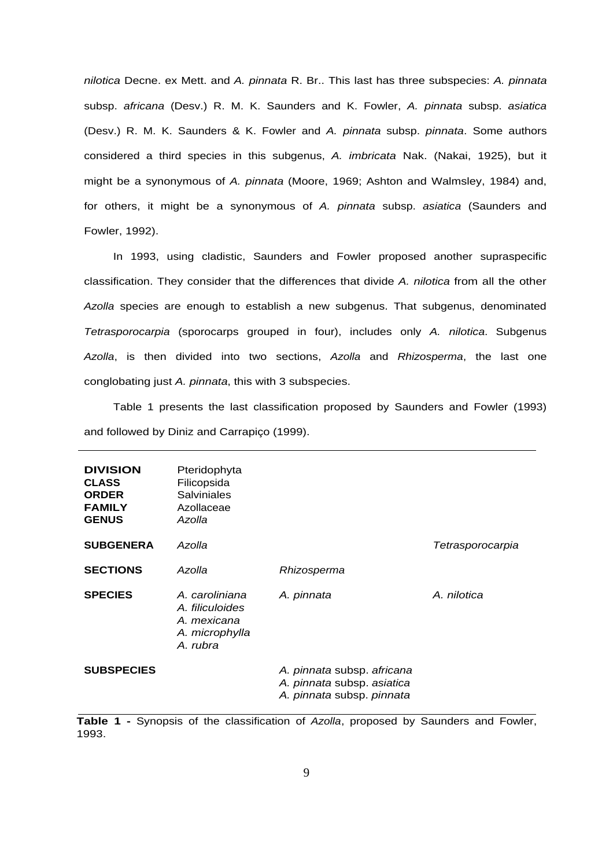nilotica Decne. ex Mett. and A. pinnata R. Br.. This last has three subspecies: A. pinnata subsp. africana (Desv.) R. M. K. Saunders and K. Fowler, A. pinnata subsp. asiatica (Desv.) R. M. K. Saunders & K. Fowler and A. pinnata subsp. pinnata. Some authors considered a third species in this subgenus, A. imbricata Nak. (Nakai, 1925), but it might be a synonymous of A. pinnata (Moore, 1969; Ashton and Walmsley, 1984) and, for others, it might be a synonymous of A. pinnata subsp. asiatica (Saunders and Fowler, 1992).

In 1993, using cladistic, Saunders and Fowler proposed another supraspecific classification. They consider that the differences that divide A. nilotica from all the other Azolla species are enough to establish a new subgenus. That subgenus, denominated Tetrasporocarpia (sporocarps grouped in four), includes only A. nilotica. Subgenus Azolla, is then divided into two sections, Azolla and Rhizosperma, the last one conglobating just A. pinnata, this with 3 subspecies.

Table 1 presents the last classification proposed by Saunders and Fowler (1993) and followed by Diniz and Carrapiço (1999).

| <b>DIVISION</b><br><b>CLASS</b><br><b>ORDER</b><br><b>FAMILY</b><br><b>GENUS</b> | Pteridophyta<br>Filicopsida<br>Salviniales<br>Azollaceae<br>Azolla             |                                                                                       |                  |
|----------------------------------------------------------------------------------|--------------------------------------------------------------------------------|---------------------------------------------------------------------------------------|------------------|
| <b>SUBGENERA</b>                                                                 | Azolla                                                                         |                                                                                       | Tetrasporocarpia |
| <b>SECTIONS</b>                                                                  | Azolla                                                                         | Rhizosperma                                                                           |                  |
| <b>SPECIES</b>                                                                   | A. caroliniana<br>A. filiculoides<br>A. mexicana<br>A. microphylla<br>A. rubra | A. pinnata                                                                            | A. nilotica      |
| <b>SUBSPECIES</b>                                                                |                                                                                | A. pinnata subsp. africana<br>A. pinnata subsp. asiatica<br>A. pinnata subsp. pinnata |                  |

**Table 1 -** Synopsis of the classification of Azolla, proposed by Saunders and Fowler, 1993.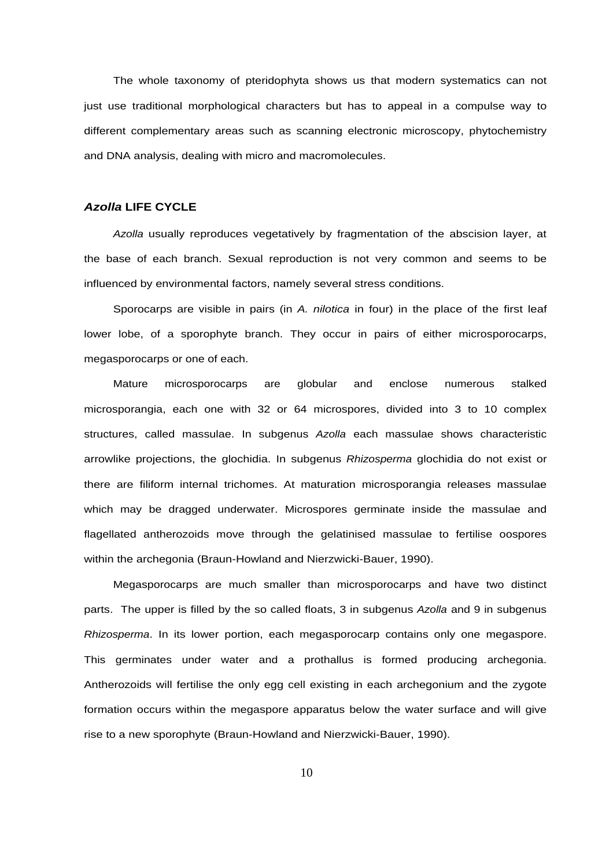The whole taxonomy of pteridophyta shows us that modern systematics can not just use traditional morphological characters but has to appeal in a compulse way to different complementary areas such as scanning electronic microscopy, phytochemistry and DNA analysis, dealing with micro and macromolecules.

### **Azolla LIFE CYCLE**

Azolla usually reproduces vegetatively by fragmentation of the abscision layer, at the base of each branch. Sexual reproduction is not very common and seems to be influenced by environmental factors, namely several stress conditions.

Sporocarps are visible in pairs (in A. *nilotica* in four) in the place of the first leaf lower lobe, of a sporophyte branch. They occur in pairs of either microsporocarps, megasporocarps or one of each.

Mature microsporocarps are globular and enclose numerous stalked microsporangia, each one with 32 or 64 microspores, divided into 3 to 10 complex structures, called massulae. In subgenus Azolla each massulae shows characteristic arrowlike projections, the glochidia. In subgenus Rhizosperma glochidia do not exist or there are filiform internal trichomes. At maturation microsporangia releases massulae which may be dragged underwater. Microspores germinate inside the massulae and flagellated antherozoids move through the gelatinised massulae to fertilise oospores within the archegonia (Braun-Howland and Nierzwicki-Bauer, 1990).

Megasporocarps are much smaller than microsporocarps and have two distinct parts. The upper is filled by the so called floats, 3 in subgenus Azolla and 9 in subgenus Rhizosperma. In its lower portion, each megasporocarp contains only one megaspore. This germinates under water and a prothallus is formed producing archegonia. Antherozoids will fertilise the only egg cell existing in each archegonium and the zygote formation occurs within the megaspore apparatus below the water surface and will give rise to a new sporophyte (Braun-Howland and Nierzwicki-Bauer, 1990).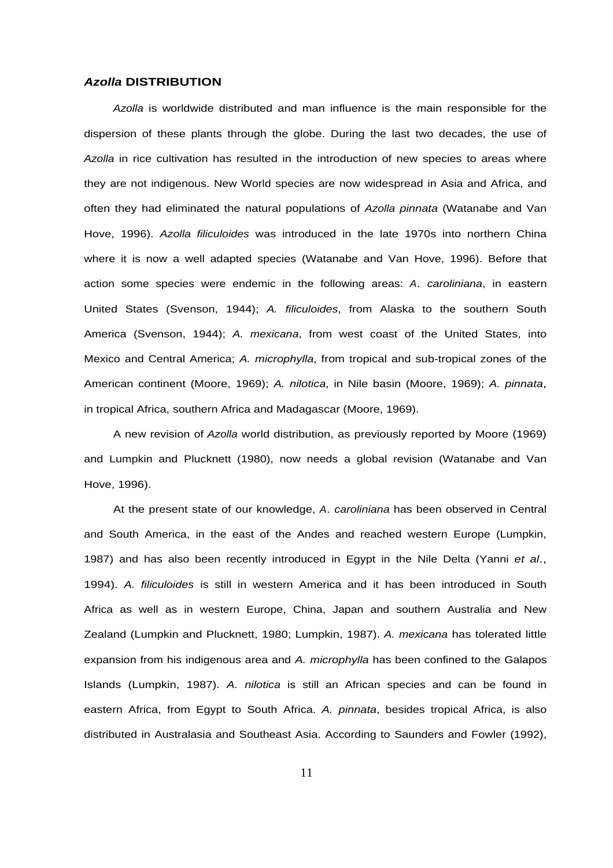#### **Azolla DISTRIBUTION**

Azolla is worldwide distributed and man influence is the main responsible for the dispersion of these plants through the globe. During the last two decades, the use of Azolla in rice cultivation has resulted in the introduction of new species to areas where they are not indigenous. New World species are now widespread in Asia and Africa, and often they had eliminated the natural populations of Azolla pinnata (Watanabe and Van Hove, 1996). Azolla filiculoides was introduced in the late 1970s into northern China where it is now a well adapted species (Watanabe and Van Hove, 1996). Before that action some species were endemic in the following areas: A. caroliniana, in eastern United States (Svenson, 1944); A. filiculoides, from Alaska to the southern South America (Svenson, 1944); A. mexicana, from west coast of the United States, into Mexico and Central America; A. microphylla, from tropical and sub-tropical zones of the American continent (Moore, 1969); A. nilotica, in Nile basin (Moore, 1969); A. pinnata, in tropical Africa, southern Africa and Madagascar (Moore, 1969).

A new revision of Azolla world distribution, as previously reported by Moore (1969) and Lumpkin and Plucknett (1980), now needs a global revision (Watanabe and Van Hove, 1996).

At the present state of our knowledge, A. caroliniana has been observed in Central and South America, in the east of the Andes and reached western Europe (Lumpkin, 1987) and has also been recently introduced in Egypt in the Nile Delta (Yanni et al., 1994). A. filiculoides is still in western America and it has been introduced in South Africa as well as in western Europe, China, Japan and southern Australia and New Zealand (Lumpkin and Plucknett, 1980; Lumpkin, 1987). A. mexicana has tolerated little expansion from his indigenous area and A. microphylla has been confined to the Galapos Islands (Lumpkin, 1987). A. nilotica is still an African species and can be found in eastern Africa, from Egypt to South Africa. A. pinnata, besides tropical Africa, is also distributed in Australasia and Southeast Asia. According to Saunders and Fowler (1992),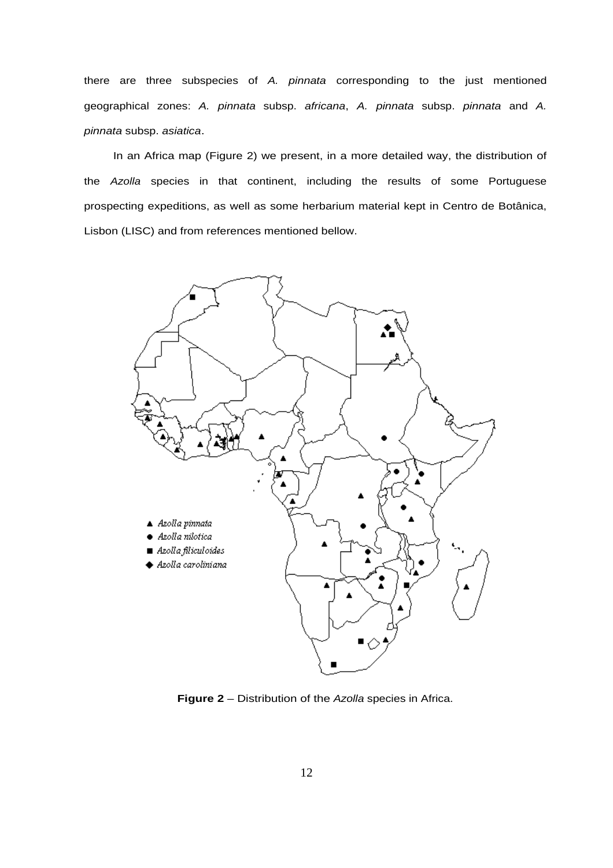there are three subspecies of A. pinnata corresponding to the just mentioned geographical zones: A. pinnata subsp. africana, A. pinnata subsp. pinnata and A. pinnata subsp. asiatica.

In an Africa map (Figure 2) we present, in a more detailed way, the distribution of the Azolla species in that continent, including the results of some Portuguese prospecting expeditions, as well as some herbarium material kept in Centro de Botânica, Lisbon (LISC) and from references mentioned bellow.



**Figure 2** – Distribution of the Azolla species in Africa.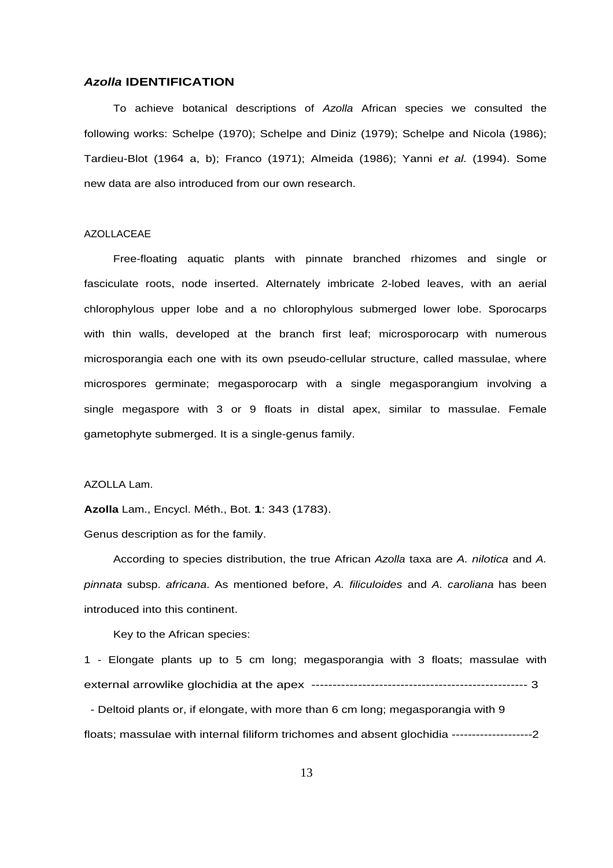#### **Azolla IDENTIFICATION**

To achieve botanical descriptions of Azolla African species we consulted the following works: Schelpe (1970); Schelpe and Diniz (1979); Schelpe and Nicola (1986); Tardieu-Blot (1964 a, b); Franco (1971); Almeida (1986); Yanni et al. (1994). Some new data are also introduced from our own research.

## AZOLLACEAE

Free-floating aquatic plants with pinnate branched rhizomes and single or fasciculate roots, node inserted. Alternately imbricate 2-lobed leaves, with an aerial chlorophylous upper lobe and a no chlorophylous submerged lower lobe. Sporocarps with thin walls, developed at the branch first leaf; microsporocarp with numerous microsporangia each one with its own pseudo-cellular structure, called massulae, where microspores germinate; megasporocarp with a single megasporangium involving a single megaspore with 3 or 9 floats in distal apex, similar to massulae. Female gametophyte submerged. It is a single-genus family.

AZOLLA Lam.

**Azolla** Lam., Encycl. Méth., Bot. **1**: 343 (1783).

Genus description as for the family.

According to species distribution, the true African Azolla taxa are A. nilotica and A. pinnata subsp. africana. As mentioned before, A. filiculoides and A. caroliana has been introduced into this continent.

Key to the African species:

1 - Elongate plants up to 5 cm long; megasporangia with 3 floats; massulae with external arrowlike glochidia at the apex --------------------------------------------------- 3

 - Deltoid plants or, if elongate, with more than 6 cm long; megasporangia with 9 floats; massulae with internal filiform trichomes and absent glochidia --------------------2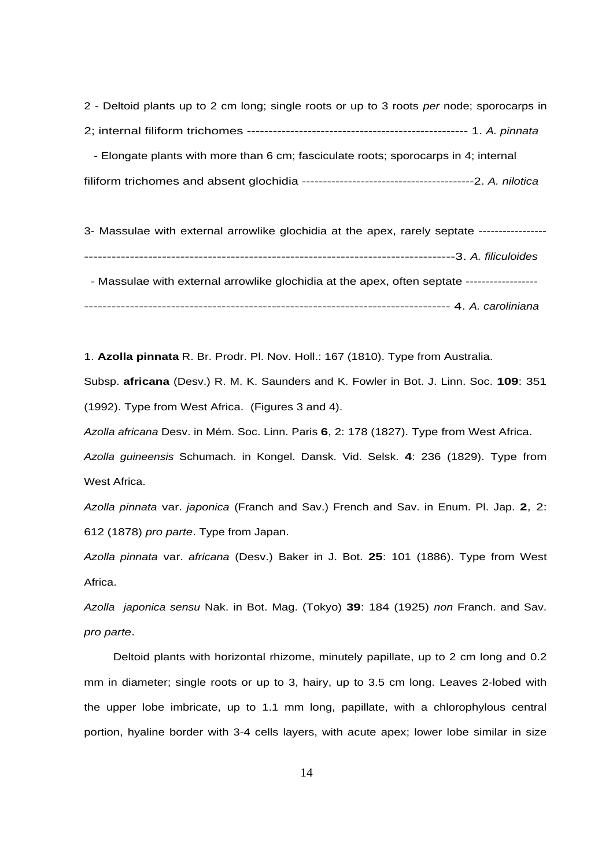2 - Deltoid plants up to 2 cm long; single roots or up to 3 roots per node; sporocarps in 2; internal filiform trichomes --------------------------------------------------- 1. A. pinnata - Elongate plants with more than 6 cm; fasciculate roots; sporocarps in 4; internal

filiform trichomes and absent glochidia -----------------------------------------2. A. nilotica

3- Massulae with external arrowlike glochidia at the apex, rarely septate ----------------- ---------------------------------------------------------------------------------3. A. filiculoides - Massulae with external arrowlike glochidia at the apex, often septate ------------------------------------------------------------------------------------------------- 4. A. caroliniana

1. **Azolla pinnata** R. Br. Prodr. Pl. Nov. Holl.: 167 (1810). Type from Australia.

Subsp. **africana** (Desv.) R. M. K. Saunders and K. Fowler in Bot. J. Linn. Soc. **109**: 351 (1992). Type from West Africa. (Figures 3 and 4).

Azolla africana Desv. in Mém. Soc. Linn. Paris **6**, 2: 178 (1827). Type from West Africa.

Azolla guineensis Schumach. in Kongel. Dansk. Vid. Selsk. **4**: 236 (1829). Type from West Africa.

Azolla pinnata var. japonica (Franch and Sav.) French and Sav. in Enum. Pl. Jap. **2**, 2: 612 (1878) pro parte. Type from Japan.

Azolla pinnata var. africana (Desv.) Baker in J. Bot. **25**: 101 (1886). Type from West Africa.

Azolla japonica sensu Nak. in Bot. Mag. (Tokyo) **39**: 184 (1925) non Franch. and Sav. pro parte.

Deltoid plants with horizontal rhizome, minutely papillate, up to 2 cm long and 0.2 mm in diameter; single roots or up to 3, hairy, up to 3.5 cm long. Leaves 2-lobed with the upper lobe imbricate, up to 1.1 mm long, papillate, with a chlorophylous central portion, hyaline border with 3-4 cells layers, with acute apex; lower lobe similar in size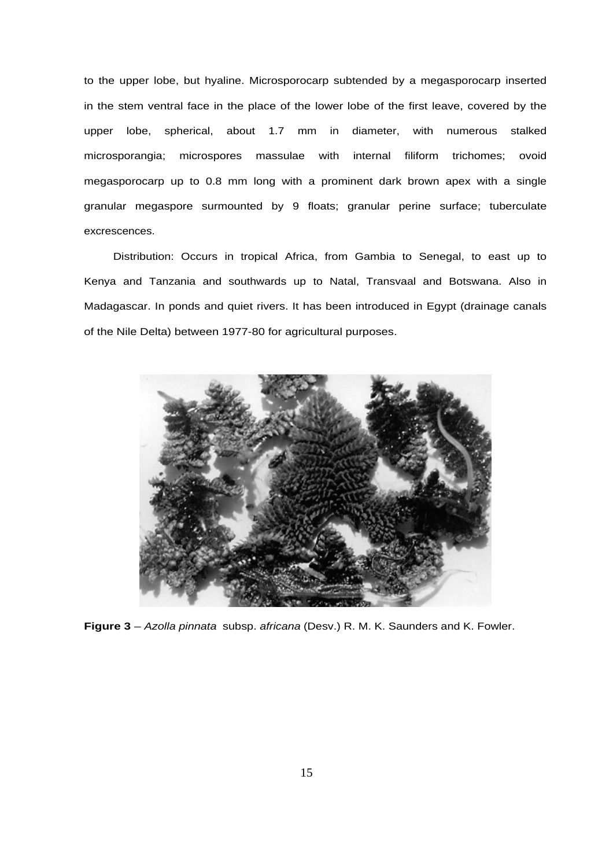to the upper lobe, but hyaline. Microsporocarp subtended by a megasporocarp inserted in the stem ventral face in the place of the lower lobe of the first leave, covered by the upper lobe, spherical, about 1.7 mm in diameter, with numerous stalked microsporangia; microspores massulae with internal filiform trichomes; ovoid megasporocarp up to 0.8 mm long with a prominent dark brown apex with a single granular megaspore surmounted by 9 floats; granular perine surface; tuberculate excrescences.

Distribution: Occurs in tropical Africa, from Gambia to Senegal, to east up to Kenya and Tanzania and southwards up to Natal, Transvaal and Botswana. Also in Madagascar. In ponds and quiet rivers. It has been introduced in Egypt (drainage canals of the Nile Delta) between 1977-80 for agricultural purposes.



**Figure 3** – Azolla pinnata subsp. africana (Desv.) R. M. K. Saunders and K. Fowler.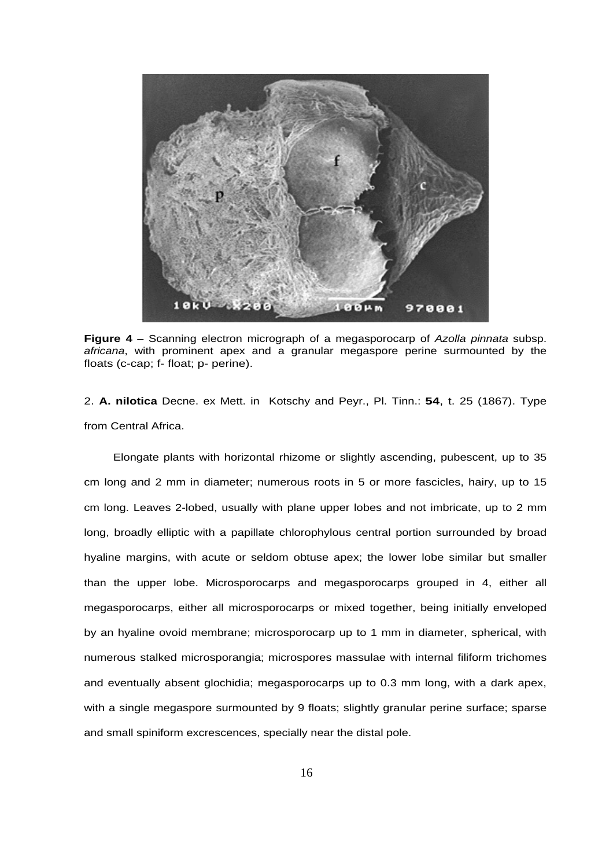

**Figure 4** – Scanning electron micrograph of a megasporocarp of Azolla pinnata subsp. africana, with prominent apex and a granular megaspore perine surmounted by the floats (c-cap; f- float; p- perine).

2. **A. nilotica** Decne. ex Mett. in Kotschy and Peyr., Pl. Tinn.: **54**, t. 25 (1867). Type from Central Africa.

Elongate plants with horizontal rhizome or slightly ascending, pubescent, up to 35 cm long and 2 mm in diameter; numerous roots in 5 or more fascicles, hairy, up to 15 cm long. Leaves 2-lobed, usually with plane upper lobes and not imbricate, up to 2 mm long, broadly elliptic with a papillate chlorophylous central portion surrounded by broad hyaline margins, with acute or seldom obtuse apex; the lower lobe similar but smaller than the upper lobe. Microsporocarps and megasporocarps grouped in 4, either all megasporocarps, either all microsporocarps or mixed together, being initially enveloped by an hyaline ovoid membrane; microsporocarp up to 1 mm in diameter, spherical, with numerous stalked microsporangia; microspores massulae with internal filiform trichomes and eventually absent glochidia; megasporocarps up to 0.3 mm long, with a dark apex, with a single megaspore surmounted by 9 floats; slightly granular perine surface; sparse and small spiniform excrescences, specially near the distal pole.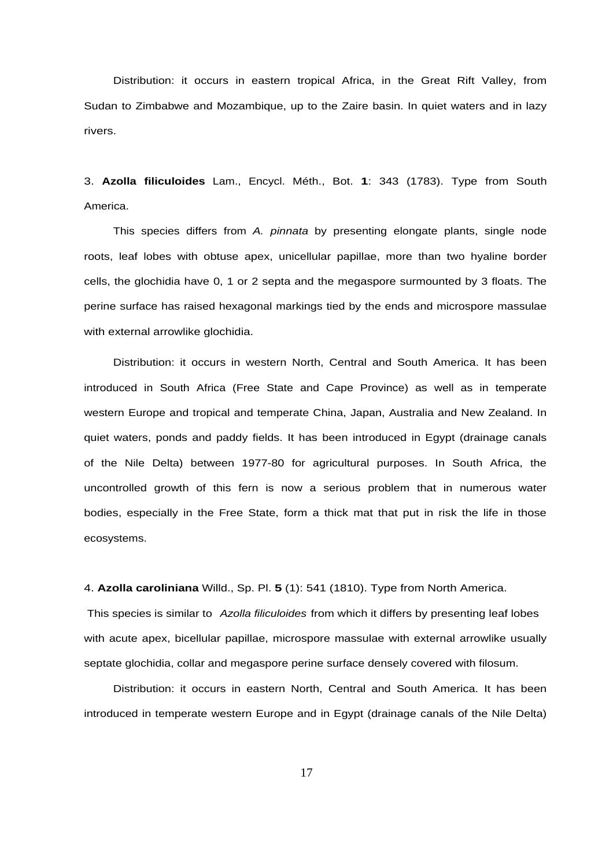Distribution: it occurs in eastern tropical Africa, in the Great Rift Valley, from Sudan to Zimbabwe and Mozambique, up to the Zaire basin. In quiet waters and in lazy rivers.

3. **Azolla filiculoides** Lam., Encycl. Méth., Bot. **1**: 343 (1783). Type from South America.

This species differs from A. pinnata by presenting elongate plants, single node roots, leaf lobes with obtuse apex, unicellular papillae, more than two hyaline border cells, the glochidia have 0, 1 or 2 septa and the megaspore surmounted by 3 floats. The perine surface has raised hexagonal markings tied by the ends and microspore massulae with external arrowlike glochidia.

Distribution: it occurs in western North, Central and South America. It has been introduced in South Africa (Free State and Cape Province) as well as in temperate western Europe and tropical and temperate China, Japan, Australia and New Zealand. In quiet waters, ponds and paddy fields. It has been introduced in Egypt (drainage canals of the Nile Delta) between 1977-80 for agricultural purposes. In South Africa, the uncontrolled growth of this fern is now a serious problem that in numerous water bodies, especially in the Free State, form a thick mat that put in risk the life in those ecosystems.

4. **Azolla caroliniana** Willd., Sp. Pl. **5** (1): 541 (1810). Type from North America.

This species is similar to Azolla filiculoides from which it differs by presenting leaf lobes with acute apex, bicellular papillae, microspore massulae with external arrowlike usually septate glochidia, collar and megaspore perine surface densely covered with filosum.

Distribution: it occurs in eastern North, Central and South America. It has been introduced in temperate western Europe and in Egypt (drainage canals of the Nile Delta)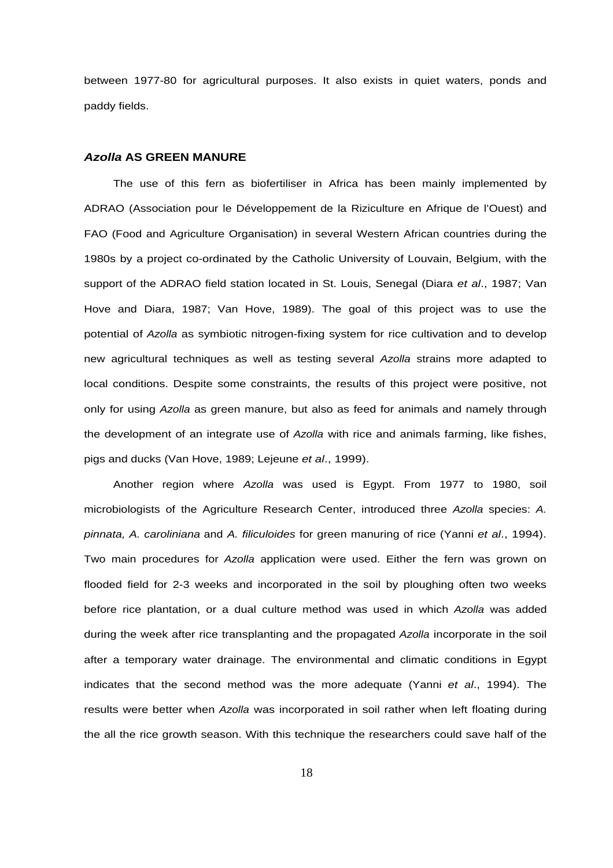between 1977-80 for agricultural purposes. It also exists in quiet waters, ponds and paddy fields.

#### **Azolla AS GREEN MANURE**

The use of this fern as biofertiliser in Africa has been mainly implemented by ADRAO (Association pour le Développement de la Riziculture en Afrique de l'Ouest) and FAO (Food and Agriculture Organisation) in several Western African countries during the 1980s by a project co-ordinated by the Catholic University of Louvain, Belgium, with the support of the ADRAO field station located in St. Louis, Senegal (Diara et al., 1987; Van Hove and Diara, 1987; Van Hove, 1989). The goal of this project was to use the potential of Azolla as symbiotic nitrogen-fixing system for rice cultivation and to develop new agricultural techniques as well as testing several Azolla strains more adapted to local conditions. Despite some constraints, the results of this project were positive, not only for using Azolla as green manure, but also as feed for animals and namely through the development of an integrate use of Azolla with rice and animals farming, like fishes, pigs and ducks (Van Hove, 1989; Lejeune et al., 1999).

Another region where Azolla was used is Egypt. From 1977 to 1980, soil microbiologists of the Agriculture Research Center, introduced three Azolla species: A. pinnata, A. caroliniana and A. filiculoides for green manuring of rice (Yanni et al., 1994). Two main procedures for Azolla application were used. Either the fern was grown on flooded field for 2-3 weeks and incorporated in the soil by ploughing often two weeks before rice plantation, or a dual culture method was used in which Azolla was added during the week after rice transplanting and the propagated Azolla incorporate in the soil after a temporary water drainage. The environmental and climatic conditions in Egypt indicates that the second method was the more adequate (Yanni et al., 1994). The results were better when Azolla was incorporated in soil rather when left floating during the all the rice growth season. With this technique the researchers could save half of the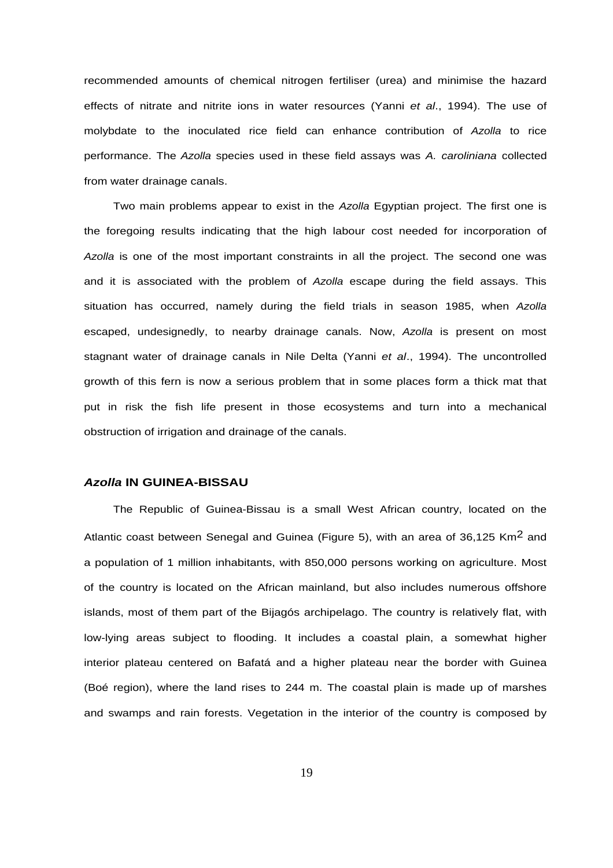recommended amounts of chemical nitrogen fertiliser (urea) and minimise the hazard effects of nitrate and nitrite ions in water resources (Yanni et al., 1994). The use of molybdate to the inoculated rice field can enhance contribution of Azolla to rice performance. The Azolla species used in these field assays was A. caroliniana collected from water drainage canals.

Two main problems appear to exist in the Azolla Egyptian project. The first one is the foregoing results indicating that the high labour cost needed for incorporation of Azolla is one of the most important constraints in all the project. The second one was and it is associated with the problem of Azolla escape during the field assays. This situation has occurred, namely during the field trials in season 1985, when Azolla escaped, undesignedly, to nearby drainage canals. Now, Azolla is present on most stagnant water of drainage canals in Nile Delta (Yanni et al., 1994). The uncontrolled growth of this fern is now a serious problem that in some places form a thick mat that put in risk the fish life present in those ecosystems and turn into a mechanical obstruction of irrigation and drainage of the canals.

### **Azolla IN GUINEA-BISSAU**

The Republic of Guinea-Bissau is a small West African country, located on the Atlantic coast between Senegal and Guinea (Figure 5), with an area of 36,125 Km<sup>2</sup> and a population of 1 million inhabitants, with 850,000 persons working on agriculture. Most of the country is located on the African mainland, but also includes numerous offshore islands, most of them part of the Bijagós archipelago. The country is relatively flat, with low-lying areas subject to flooding. It includes a coastal plain, a somewhat higher interior plateau centered on Bafatá and a higher plateau near the border with Guinea (Boé region), where the land rises to 244 m. The coastal plain is made up of marshes and swamps and rain forests. Vegetation in the interior of the country is composed by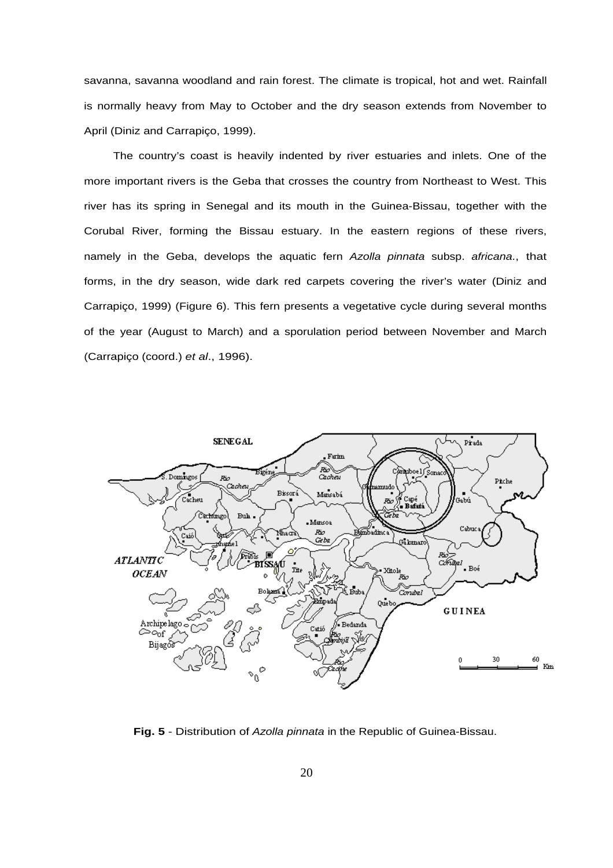savanna, savanna woodland and rain forest. The climate is tropical, hot and wet. Rainfall is normally heavy from May to October and the dry season extends from November to April (Diniz and Carrapiço, 1999).

The country's coast is heavily indented by river estuaries and inlets. One of the more important rivers is the Geba that crosses the country from Northeast to West. This river has its spring in Senegal and its mouth in the Guinea-Bissau, together with the Corubal River, forming the Bissau estuary. In the eastern regions of these rivers, namely in the Geba, develops the aquatic fern Azolla pinnata subsp. africana., that forms, in the dry season, wide dark red carpets covering the river's water (Diniz and Carrapiço, 1999) (Figure 6). This fern presents a vegetative cycle during several months of the year (August to March) and a sporulation period between November and March (Carrapiço (coord.) et al., 1996).



**Fig. 5** - Distribution of Azolla pinnata in the Republic of Guinea-Bissau.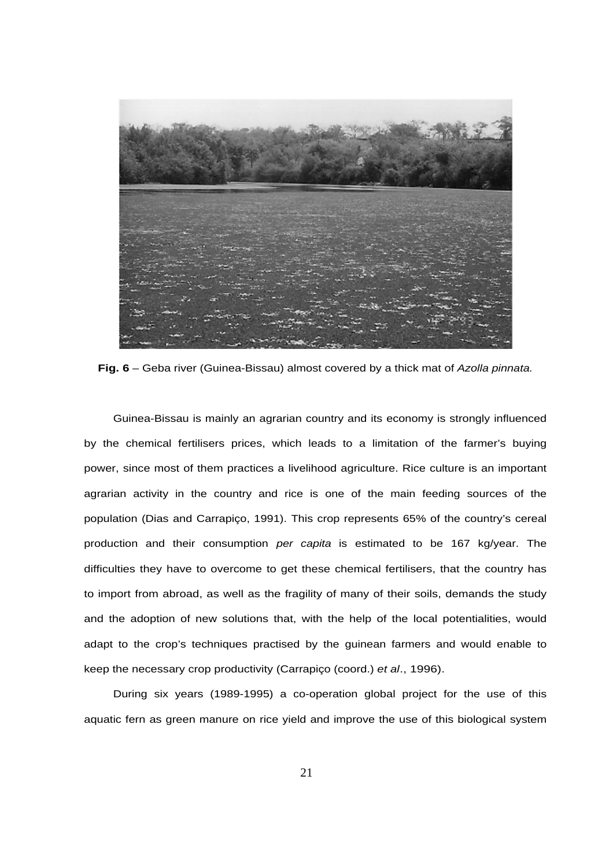

Fig. 6 – Geba river (Guinea-Bissau) almost covered by a thick mat of Azolla pinnata.

Guinea-Bissau is mainly an agrarian country and its economy is strongly influenced by the chemical fertilisers prices, which leads to a limitation of the farmer's buying power, since most of them practices a livelihood agriculture. Rice culture is an important agrarian activity in the country and rice is one of the main feeding sources of the population (Dias and Carrapiço, 1991). This crop represents 65% of the country's cereal production and their consumption per capita is estimated to be 167 kg/year. The difficulties they have to overcome to get these chemical fertilisers, that the country has to import from abroad, as well as the fragility of many of their soils, demands the study and the adoption of new solutions that, with the help of the local potentialities, would adapt to the crop's techniques practised by the guinean farmers and would enable to keep the necessary crop productivity (Carrapiço (coord.) et al., 1996).

During six years (1989-1995) a co-operation global project for the use of this aquatic fern as green manure on rice yield and improve the use of this biological system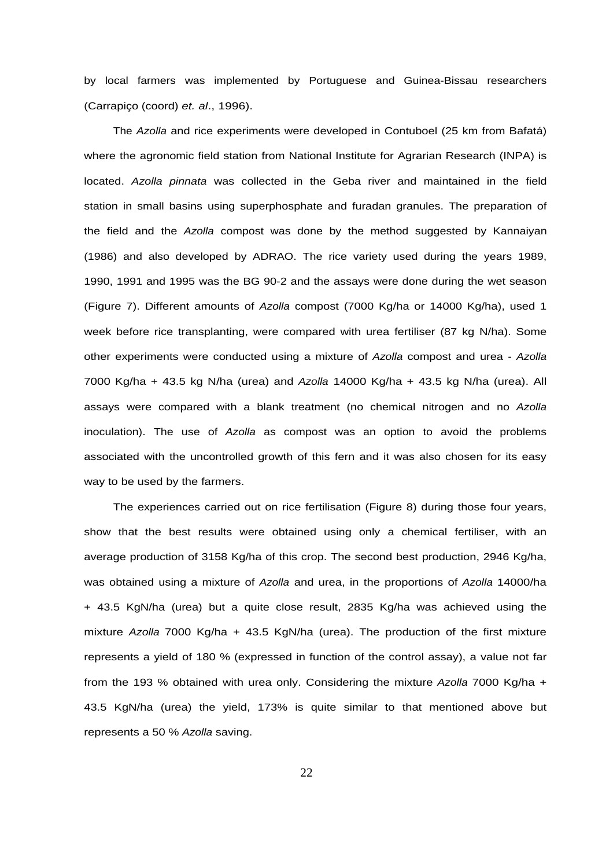by local farmers was implemented by Portuguese and Guinea-Bissau researchers (Carrapiço (coord) et. al., 1996).

The Azolla and rice experiments were developed in Contuboel (25 km from Bafatá) where the agronomic field station from National Institute for Agrarian Research (INPA) is located. Azolla pinnata was collected in the Geba river and maintained in the field station in small basins using superphosphate and furadan granules. The preparation of the field and the Azolla compost was done by the method suggested by Kannaiyan (1986) and also developed by ADRAO. The rice variety used during the years 1989, 1990, 1991 and 1995 was the BG 90-2 and the assays were done during the wet season (Figure 7). Different amounts of Azolla compost (7000 Kg/ha or 14000 Kg/ha), used 1 week before rice transplanting, were compared with urea fertiliser (87 kg N/ha). Some other experiments were conducted using a mixture of Azolla compost and urea - Azolla 7000 Kg/ha + 43.5 kg N/ha (urea) and Azolla 14000 Kg/ha + 43.5 kg N/ha (urea). All assays were compared with a blank treatment (no chemical nitrogen and no Azolla inoculation). The use of Azolla as compost was an option to avoid the problems associated with the uncontrolled growth of this fern and it was also chosen for its easy way to be used by the farmers.

The experiences carried out on rice fertilisation (Figure 8) during those four years, show that the best results were obtained using only a chemical fertiliser, with an average production of 3158 Kg/ha of this crop. The second best production, 2946 Kg/ha, was obtained using a mixture of Azolla and urea, in the proportions of Azolla 14000/ha + 43.5 KgN/ha (urea) but a quite close result, 2835 Kg/ha was achieved using the mixture Azolla 7000 Kg/ha + 43.5 KgN/ha (urea). The production of the first mixture represents a yield of 180 % (expressed in function of the control assay), a value not far from the 193 % obtained with urea only. Considering the mixture Azolla 7000 Kg/ha + 43.5 KgN/ha (urea) the yield, 173% is quite similar to that mentioned above but represents a 50 % Azolla saving.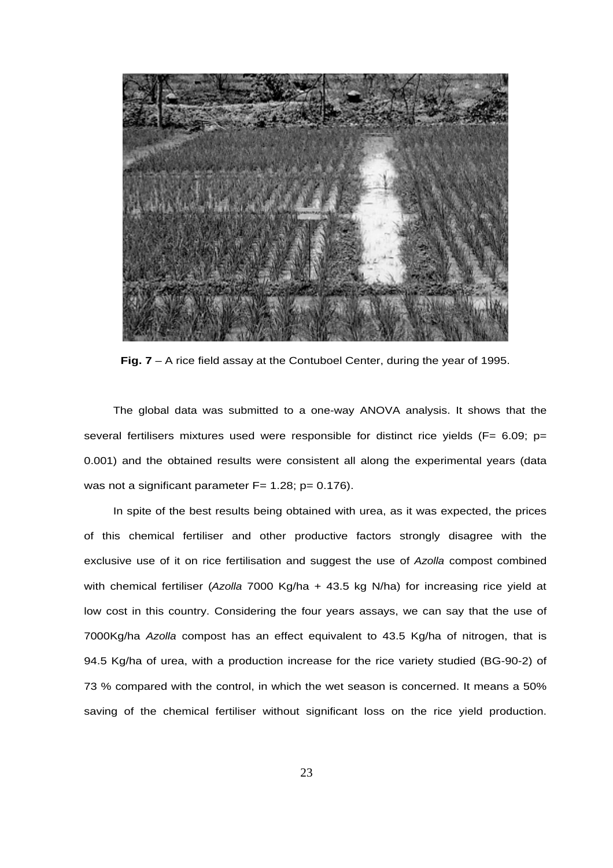

**Fig. 7** – A rice field assay at the Contuboel Center, during the year of 1995.

The global data was submitted to a one-way ANOVA analysis. It shows that the several fertilisers mixtures used were responsible for distinct rice yields ( $F= 6.09$ ; p= 0.001) and the obtained results were consistent all along the experimental years (data was not a significant parameter  $F= 1.28$ ;  $p= 0.176$ ).

In spite of the best results being obtained with urea, as it was expected, the prices of this chemical fertiliser and other productive factors strongly disagree with the exclusive use of it on rice fertilisation and suggest the use of Azolla compost combined with chemical fertiliser (Azolla 7000 Kg/ha + 43.5 kg N/ha) for increasing rice yield at low cost in this country. Considering the four years assays, we can say that the use of 7000Kg/ha Azolla compost has an effect equivalent to 43.5 Kg/ha of nitrogen, that is 94.5 Kg/ha of urea, with a production increase for the rice variety studied (BG-90-2) of 73 % compared with the control, in which the wet season is concerned. It means a 50% saving of the chemical fertiliser without significant loss on the rice yield production.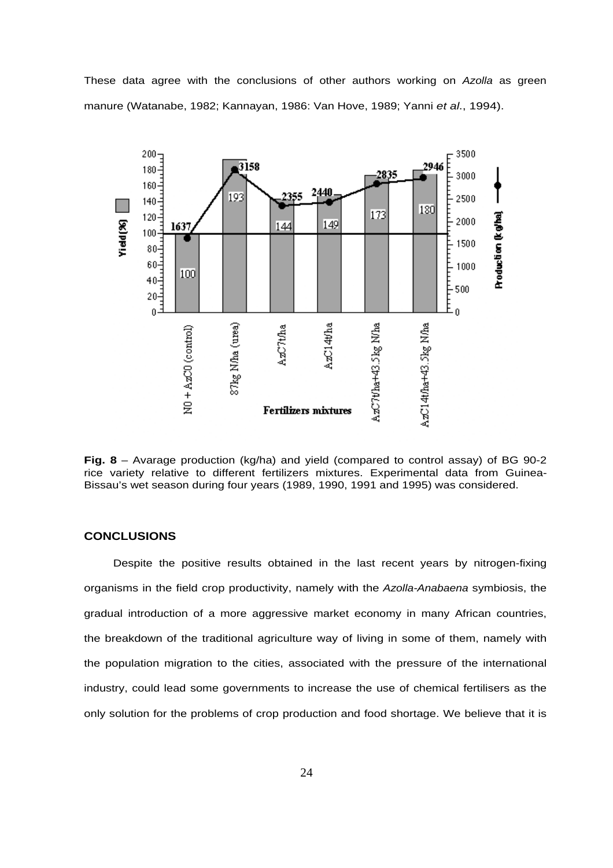These data agree with the conclusions of other authors working on Azolla as green manure (Watanabe, 1982; Kannayan, 1986: Van Hove, 1989; Yanni et al., 1994).



**Fig. 8** – Avarage production (kg/ha) and yield (compared to control assay) of BG 90-2 rice variety relative to different fertilizers mixtures. Experimental data from Guinea-Bissau's wet season during four years (1989, 1990, 1991 and 1995) was considered.

## **CONCLUSIONS**

Despite the positive results obtained in the last recent years by nitrogen-fixing organisms in the field crop productivity, namely with the Azolla-Anabaena symbiosis, the gradual introduction of a more aggressive market economy in many African countries, the breakdown of the traditional agriculture way of living in some of them, namely with the population migration to the cities, associated with the pressure of the international industry, could lead some governments to increase the use of chemical fertilisers as the only solution for the problems of crop production and food shortage. We believe that it is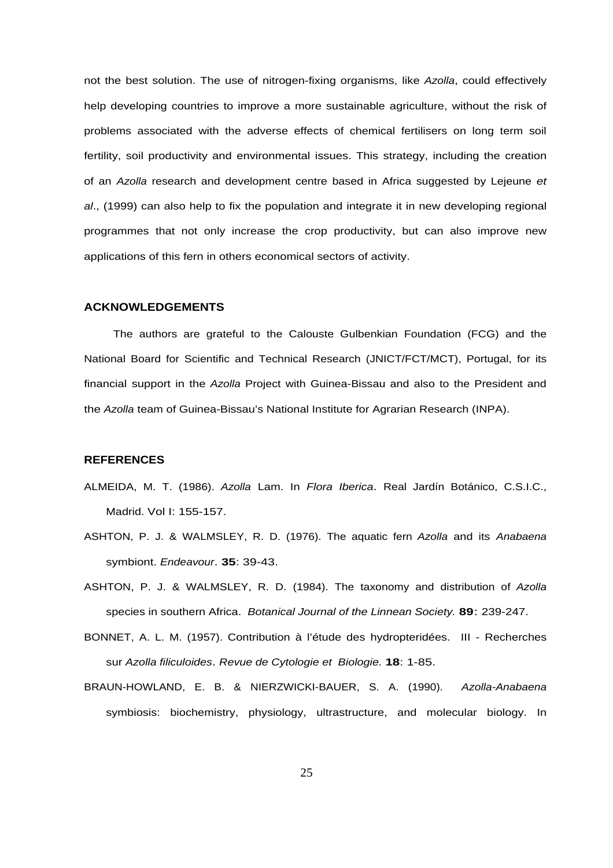not the best solution. The use of nitrogen-fixing organisms, like Azolla, could effectively help developing countries to improve a more sustainable agriculture, without the risk of problems associated with the adverse effects of chemical fertilisers on long term soil fertility, soil productivity and environmental issues. This strategy, including the creation of an Azolla research and development centre based in Africa suggested by Lejeune et al., (1999) can also help to fix the population and integrate it in new developing regional programmes that not only increase the crop productivity, but can also improve new applications of this fern in others economical sectors of activity.

#### **ACKNOWLEDGEMENTS**

The authors are grateful to the Calouste Gulbenkian Foundation (FCG) and the National Board for Scientific and Technical Research (JNICT/FCT/MCT), Portugal, for its financial support in the Azolla Project with Guinea-Bissau and also to the President and the Azolla team of Guinea-Bissau's National Institute for Agrarian Research (INPA).

#### **REFERENCES**

- ALMEIDA, M. T. (1986). Azolla Lam. In Flora Iberica. Real Jardín Botánico, C.S.I.C., Madrid. Vol I: 155-157.
- ASHTON, P. J. & WALMSLEY, R. D. (1976). The aquatic fern Azolla and its Anabaena symbiont. Endeavour. **35**: 39-43.
- ASHTON, P. J. & WALMSLEY, R. D. (1984). The taxonomy and distribution of Azolla species in southern Africa. Botanical Journal of the Linnean Society. **89**: 239-247.
- BONNET, A. L. M. (1957). Contribution à l'étude des hydropteridées. III Recherches sur Azolla filiculoides. Revue de Cytologie et Biologie. **18**: 1-85.
- BRAUN-HOWLAND, E. B. & NIERZWICKI-BAUER, S. A. (1990). Azolla-Anabaena symbiosis: biochemistry, physiology, ultrastructure, and molecular biology. In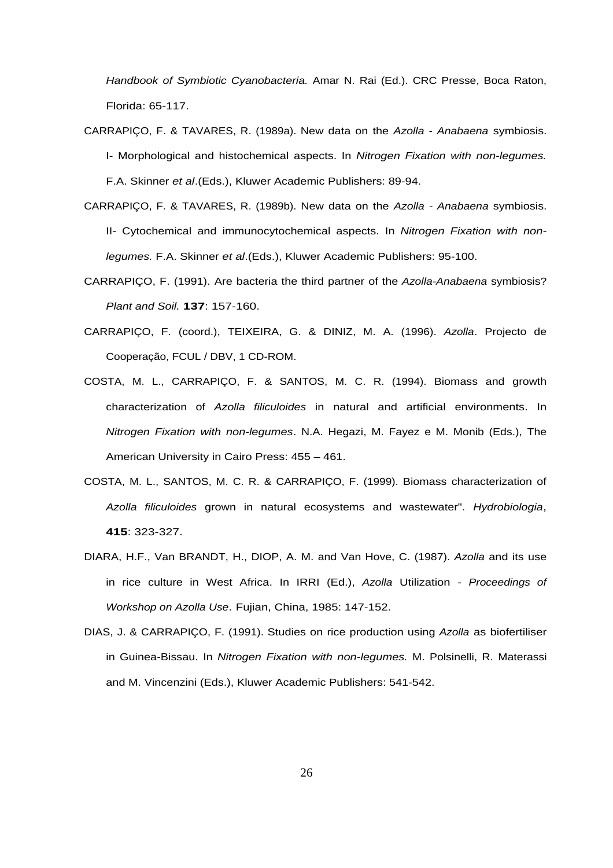Handbook of Symbiotic Cyanobacteria. Amar N. Rai (Ed.). CRC Presse, Boca Raton, Florida: 65-117.

- CARRAPIÇO, F. & TAVARES, R. (1989a). New data on the Azolla Anabaena symbiosis. I- Morphological and histochemical aspects. In Nitrogen Fixation with non-legumes. F.A. Skinner et al.(Eds.), Kluwer Academic Publishers: 89-94.
- CARRAPIÇO, F. & TAVARES, R. (1989b). New data on the Azolla Anabaena symbiosis. II- Cytochemical and immunocytochemical aspects. In Nitrogen Fixation with nonlegumes. F.A. Skinner et al.(Eds.), Kluwer Academic Publishers: 95-100.
- CARRAPIÇO, F. (1991). Are bacteria the third partner of the Azolla-Anabaena symbiosis? Plant and Soil. **137**: 157-160.
- CARRAPIÇO, F. (coord.), TEIXEIRA, G. & DINIZ, M. A. (1996). Azolla. Projecto de Cooperação, FCUL / DBV, 1 CD-ROM.
- COSTA, M. L., CARRAPIÇO, F. & SANTOS, M. C. R. (1994). Biomass and growth characterization of Azolla filiculoides in natural and artificial environments. In Nitrogen Fixation with non-legumes. N.A. Hegazi, M. Fayez e M. Monib (Eds.), The American University in Cairo Press: 455 – 461.
- COSTA, M. L., SANTOS, M. C. R. & CARRAPIÇO, F. (1999). Biomass characterization of Azolla filiculoides grown in natural ecosystems and wastewater". Hydrobiologia, **415**: 323-327.
- DIARA, H.F., Van BRANDT, H., DIOP, A. M. and Van Hove, C. (1987). Azolla and its use in rice culture in West Africa. In IRRI (Ed.), Azolla Utilization - Proceedings of Workshop on Azolla Use. Fujian, China, 1985: 147-152.
- DIAS, J. & CARRAPIÇO, F. (1991). Studies on rice production using Azolla as biofertiliser in Guinea-Bissau. In Nitrogen Fixation with non-legumes. M. Polsinelli, R. Materassi and M. Vincenzini (Eds.), Kluwer Academic Publishers: 541-542.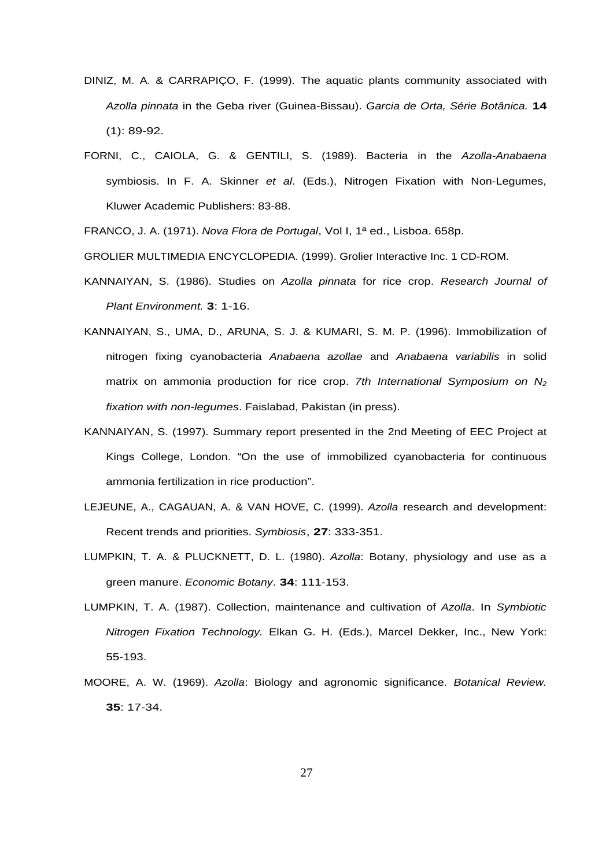- DINIZ, M. A. & CARRAPIÇO, F. (1999). The aquatic plants community associated with Azolla pinnata in the Geba river (Guinea-Bissau). Garcia de Orta, Série Botânica. **14** (1): 89-92.
- FORNI, C., CAIOLA, G. & GENTILI, S. (1989). Bacteria in the Azolla-Anabaena symbiosis. In F. A. Skinner et al. (Eds.), Nitrogen Fixation with Non-Legumes, Kluwer Academic Publishers: 83-88.

FRANCO, J. A. (1971). Nova Flora de Portugal, Vol I, 1ª ed., Lisboa. 658p.

GROLIER MULTIMEDIA ENCYCLOPEDIA. (1999). Grolier Interactive Inc. 1 CD-ROM.

- KANNAIYAN, S. (1986). Studies on Azolla pinnata for rice crop. Research Journal of Plant Environment. **3**: 1-16.
- KANNAIYAN, S., UMA, D., ARUNA, S. J. & KUMARI, S. M. P. (1996). Immobilization of nitrogen fixing cyanobacteria Anabaena azollae and Anabaena variabilis in solid matrix on ammonia production for rice crop. 7th International Symposium on  $N_2$ fixation with non-legumes. Faislabad, Pakistan (in press).
- KANNAIYAN, S. (1997). Summary report presented in the 2nd Meeting of EEC Project at Kings College, London. "On the use of immobilized cyanobacteria for continuous ammonia fertilization in rice production".
- LEJEUNE, A., CAGAUAN, A. & VAN HOVE, C. (1999). Azolla research and development: Recent trends and priorities. Symbiosis, **27**: 333-351.
- LUMPKIN, T. A. & PLUCKNETT, D. L. (1980). Azolla: Botany, physiology and use as a green manure. Economic Botany. **34**: 111-153.
- LUMPKIN, T. A. (1987). Collection, maintenance and cultivation of Azolla. In Symbiotic Nitrogen Fixation Technology. Elkan G. H. (Eds.), Marcel Dekker, Inc., New York: 55-193.
- MOORE, A. W. (1969). Azolla: Biology and agronomic significance. Botanical Review. **35**: 17-34.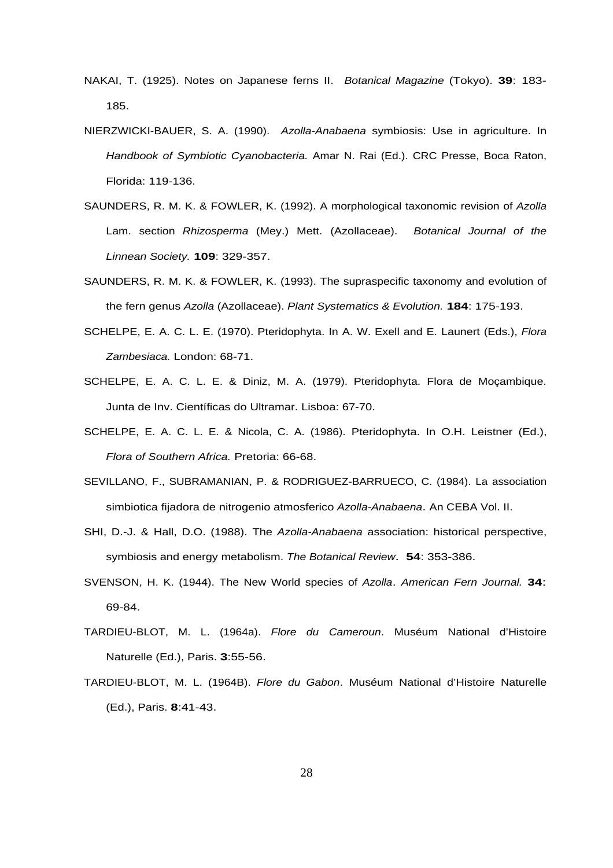- NAKAI, T. (1925). Notes on Japanese ferns II. Botanical Magazine (Tokyo). **39**: 183- 185.
- NIERZWICKI-BAUER, S. A. (1990). Azolla-Anabaena symbiosis: Use in agriculture. In Handbook of Symbiotic Cyanobacteria. Amar N. Rai (Ed.). CRC Presse, Boca Raton, Florida: 119-136.
- SAUNDERS, R. M. K. & FOWLER, K. (1992). A morphological taxonomic revision of Azolla Lam. section Rhizosperma (Mey.) Mett. (Azollaceae). Botanical Journal of the Linnean Society. **109**: 329-357.
- SAUNDERS, R. M. K. & FOWLER, K. (1993). The supraspecific taxonomy and evolution of the fern genus Azolla (Azollaceae). Plant Systematics & Evolution. **184**: 175-193.
- SCHELPE, E. A. C. L. E. (1970). Pteridophyta. In A. W. Exell and E. Launert (Eds.), Flora Zambesiaca. London: 68-71.
- SCHELPE, E. A. C. L. E. & Diniz, M. A. (1979). Pteridophyta. Flora de Moçambique. Junta de Inv. Científicas do Ultramar. Lisboa: 67-70.
- SCHELPE, E. A. C. L. E. & Nicola, C. A. (1986). Pteridophyta. In O.H. Leistner (Ed.), Flora of Southern Africa. Pretoria: 66-68.
- SEVILLANO, F., SUBRAMANIAN, P. & RODRIGUEZ-BARRUECO, C. (1984). La association simbiotica fijadora de nitrogenio atmosferico Azolla-Anabaena. An CEBA Vol. II.
- SHI, D.-J. & Hall, D.O. (1988). The Azolla-Anabaena association: historical perspective, symbiosis and energy metabolism. The Botanical Review. **54**: 353-386.
- SVENSON, H. K. (1944). The New World species of Azolla. American Fern Journal. **34**: 69-84.
- TARDIEU-BLOT, M. L. (1964a). Flore du Cameroun. Muséum National d'Histoire Naturelle (Ed.), Paris. **3**:55-56.
- TARDIEU-BLOT, M. L. (1964B). Flore du Gabon. Muséum National d'Histoire Naturelle (Ed.), Paris. **8**:41-43.